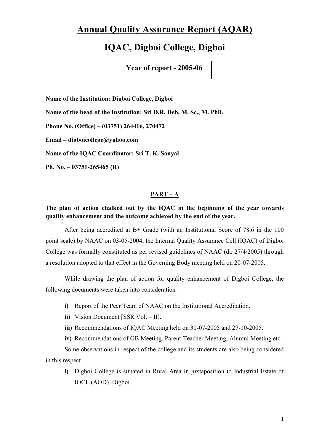# **Annual Quality Assurance Report (AQAR)**

# **IQAC, Digboi College, Digboi**

**Year of report - 2005-06** 

**Name of the Institution: Digboi College, Digboi Name of the head of the Institution: Sri D.R. Deb, M. Sc., M. Phil. Phone No. (Office) – (03751) 264416, 270472 Email – digboicollege@yahoo.com Name of the IQAC Coordinator: Sri T. K. Sanyal** 

**Ph. No. – 03751-265465 (R)** 

#### **PART – A**

#### **The plan of action chalked out by the IQAC in the beginning of the year towards quality enhancement and the outcome achieved by the end of the year.**

After being accredited at B+ Grade (with an Institutional Score of 78.6 in the 100 point scale) by NAAC on 03-05-2004, the Internal Quality Assurance Cell (IQAC) of Digboi College was formally constituted as per revised guidelines of NAAC (dt. 27/4/2005) through a resolution adopted to that effect in the Governing Body meeting held on 20-07-2005.

While drawing the plan of action for quality enhancement of Digboi College, the following documents were taken into consideration –

- **i)** Report of the Peer Team of NAAC on the Institutional Accreditation.
- **ii)** Vision Document [SSR Vol. II].
- **iii)** Recommendations of IQAC Meeting held on 30-07-2005 and 27-10-2005.

**iv)** Recommendations of GB Meeting, Parent-Teacher Meeting, Alumni Meeting etc.

Some observations in respect of the college and its students are also being considered in this respect.

**i)** Digboi College is situated in Rural Area in juxtaposition to Industrial Estate of IOCL (AOD), Digboi.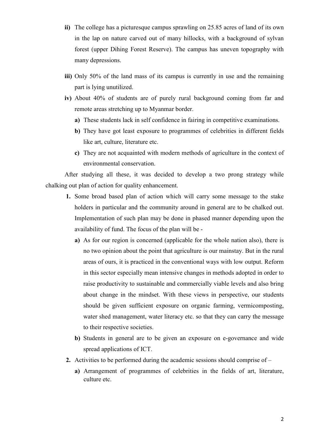- **ii)** The college has a picturesque campus sprawling on 25.85 acres of land of its own in the lap on nature carved out of many hillocks, with a background of sylvan forest (upper Dihing Forest Reserve). The campus has uneven topography with many depressions.
- **iii)** Only 50% of the land mass of its campus is currently in use and the remaining part is lying unutilized.
- **iv)** About 40% of students are of purely rural background coming from far and remote areas stretching up to Myanmar border.
	- **a)** These students lack in self confidence in fairing in competitive examinations.
	- **b)** They have got least exposure to programmes of celebrities in different fields like art, culture, literature etc.
	- **c)** They are not acquainted with modern methods of agriculture in the context of environmental conservation.

After studying all these, it was decided to develop a two prong strategy while chalking out plan of action for quality enhancement.

- **1.** Some broad based plan of action which will carry some message to the stake holders in particular and the community around in general are to be chalked out. Implementation of such plan may be done in phased manner depending upon the availability of fund. The focus of the plan will be
	- **a)** As for our region is concerned (applicable for the whole nation also), there is no two opinion about the point that agriculture is our mainstay. But in the rural areas of ours, it is practiced in the conventional ways with low output. Reform in this sector especially mean intensive changes in methods adopted in order to raise productivity to sustainable and commercially viable levels and also bring about change in the mindset. With these views in perspective, our students should be given sufficient exposure on organic farming, vermicomposting, water shed management, water literacy etc. so that they can carry the message to their respective societies.
	- **b)** Students in general are to be given an exposure on e-governance and wide spread applications of ICT.
- **2.** Activities to be performed during the academic sessions should comprise of
	- **a)** Arrangement of programmes of celebrities in the fields of art, literature, culture etc.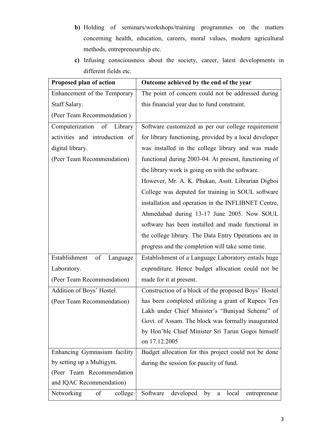**b)** Holding of seminars/workshops/training programmes on the matters concerning health, education, careers, moral values, modern agricultural methods, entrepreneurship etc.

|  | c) Infusing consciousness about the society, career, latest developments in |  |  |  |  |
|--|-----------------------------------------------------------------------------|--|--|--|--|
|  | different fields etc.                                                       |  |  |  |  |

| Proposed plan of action         | Outcome achieved by the end of the year                   |
|---------------------------------|-----------------------------------------------------------|
| Enhancement of the Temporary    | The point of concern could not be addressed during        |
| Staff Salary.                   | this financial year due to fund constraint.               |
| (Peer Team Recommendation)      |                                                           |
| Computerization<br>of Library   | Software customized as per our college requirement        |
| activities and introduction of  | for library functioning, provided by a local developer    |
| digital library.                | was installed in the college library and was made         |
| (Peer Team Recommendation)      | functional during 2003-04. At present, functioning of     |
|                                 | the library work is going on with the software.           |
|                                 | However, Mr. A. K. Phukan, Asstt. Librarian Digboi        |
|                                 | College was deputed for training in SOUL software         |
|                                 | installation and operation in the INFLIBNET Centre,       |
|                                 | Ahmedabad during 13-17 June 2005. Now SOUL                |
|                                 | software has been installed and made functional in        |
|                                 | the college library. The Data Entry Operations are in     |
|                                 | progress and the completion will take some time.          |
| Establishment<br>of<br>Language | Establishment of a Language Laboratory entails huge       |
| Laboratory.                     | expenditure. Hence budget allocation could not be         |
| (Peer Team Recommendation)      | made for it at present.                                   |
| Addition of Boys' Hostel.       | Construction of a block of the proposed Boys' Hostel      |
| (Peer Team Recommendation)      | has been completed utilizing a grant of Rupees Ten        |
|                                 | Lakh under Chief Minister's "Buniyad Scheme" of           |
|                                 | Govt. of Assam. The block was formally inaugurated        |
|                                 | by Hon'ble Chief Minister Sri Tarun Gogoi himself         |
|                                 | on 17.12.2005                                             |
| Enhancing Gymnasium facility    | Budget allocation for this project could not be done      |
| by setting up a Multigym.       | during the session for paucity of fund.                   |
| (Peer Team Recommendation       |                                                           |
| and IQAC Recommendation)        |                                                           |
| Networking<br>of<br>college     | Software<br>developed<br>local<br>by<br>entrepreneur<br>a |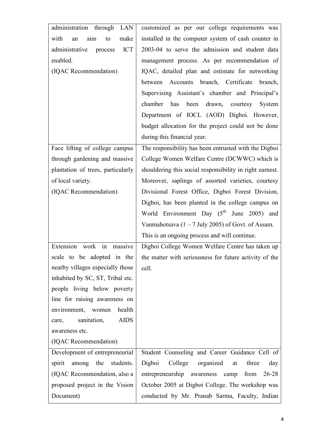| administration through LAN              | customized as per our college requirements was           |
|-----------------------------------------|----------------------------------------------------------|
| with<br>make<br>aim<br>an<br>to         | installed in the computer system of cash counter in      |
| administrative<br><b>ICT</b><br>process | 2003-04 to serve the admission and student data          |
| enabled.                                | management process. As per recommendation of             |
| (IQAC Recommendation)                   | IQAC, detailed plan and estimate for networking          |
|                                         | between Accounts branch, Certificate branch,             |
|                                         | Supervising Assistant's chamber and Principal's          |
|                                         | been<br>drawn, courtesy<br>chamber has<br>System         |
|                                         | Department of IOCL (AOD) Digboi. However,                |
|                                         | budget allocation for the project could not be done      |
|                                         | during this financial year.                              |
| Face lifting of college campus          | The responsibility has been entrusted with the Digboi    |
| through gardening and massive           | College Women Welfare Centre (DCWWC) which is            |
| plantation of trees, particularly       | shouldering this social responsibility in right earnest. |
| of local variety.                       | Moreover, saplings of assorted varieties, courtesy       |
| (IQAC Recommendation)                   | Divisional Forest Office, Digboi Forest Division,        |
|                                         | Digboi, has been planted in the college campus on        |
|                                         | World Environment Day $(5^{th}$ June 2005) and           |
|                                         | Vanmahotsava $(1 - 7$ July 2005) of Govt. of Assam.      |
|                                         | This is an ongoing process and will continue.            |
| Extension<br>work in<br>massive         | Digboi College Women Welfare Centre has taken up         |
| scale to be adopted in the              | the matter with seriousness for future activity of the   |
| nearby villages especially those        | cell.                                                    |
| inhabited by SC, ST, Tribal etc.        |                                                          |
| people living below poverty             |                                                          |
| line for raising awareness on           |                                                          |
| environment, women<br>health            |                                                          |
| sanitation,<br><b>AIDS</b><br>care,     |                                                          |
| awareness etc.                          |                                                          |
| (IQAC Recommendation)                   |                                                          |
| Development of entrepreneurial          | Student Counseling and Career Guidance Cell of           |
| spirit among the students.              | Digboi<br>College organized at<br>three<br>day           |
| (IQAC Recommendation, also a            | entrepreneurship awareness camp<br>from $26-28$          |
| proposed project in the Vision          | October 2005 at Digboi College. The workshop was         |
| Document)                               | conducted by Mr. Pranab Sarma, Faculty, Indian           |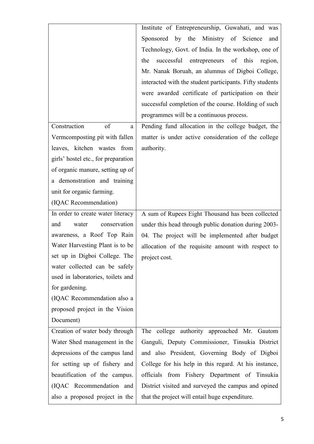|                                     | Institute of Entrepreneurship, Guwahati, and was         |
|-------------------------------------|----------------------------------------------------------|
|                                     | Sponsored by the Ministry of Science<br>and              |
|                                     | Technology, Govt. of India. In the workshop, one of      |
|                                     | successful entrepreneurs of this<br>the<br>region,       |
|                                     | Mr. Nanak Boruah, an alumnus of Digboi College,          |
|                                     | interacted with the student participants. Fifty students |
|                                     | were awarded certificate of participation on their       |
|                                     | successful completion of the course. Holding of such     |
|                                     | programmes will be a continuous process.                 |
| Construction<br>of<br>a             | Pending fund allocation in the college budget, the       |
| Vermcomposting pit with fallen      | matter is under active consideration of the college      |
| leaves, kitchen wastes from         | authority.                                               |
| girls' hostel etc., for preparation |                                                          |
| of organic manure, setting up of    |                                                          |
| a demonstration and training        |                                                          |
| unit for organic farming.           |                                                          |
| (IQAC Recommendation)               |                                                          |
| In order to create water literacy   | A sum of Rupees Eight Thousand has been collected        |
| conservation<br>water<br>and        | under this head through public donation during 2003-     |
| awareness, a Roof Top Rain          | 04. The project will be implemented after budget         |
| Water Harvesting Plant is to be     | allocation of the requisite amount with respect to       |
| set up in Digboi College. The       | project cost.                                            |
| water collected can be safely       |                                                          |
| used in laboratories, toilets and   |                                                          |
| for gardening.                      |                                                          |
| (IQAC Recommendation also a         |                                                          |
| proposed project in the Vision      |                                                          |
| Document)                           |                                                          |
| Creation of water body through      | The college authority approached Mr. Gautom              |
| Water Shed management in the        | Ganguli, Deputy Commissioner, Tinsukia District          |
| depressions of the campus land      | and also President, Governing Body of Digboi             |
| for setting up of fishery and       | College for his help in this regard. At his instance,    |
| beautification of the campus.       | officials from Fishery Department of Tinsukia            |
| (IQAC Recommendation and            | District visited and surveyed the campus and opined      |
| also a proposed project in the      | that the project will entail huge expenditure.           |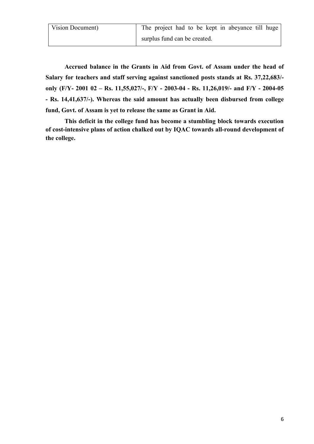| Vision Document) | The project had to be kept in abeyance till huge |
|------------------|--------------------------------------------------|
|                  | surplus fund can be created.                     |

**Accrued balance in the Grants in Aid from Govt. of Assam under the head of Salary for teachers and staff serving against sanctioned posts stands at Rs. 37,22,683/ only (F/Y- 2001 02 – Rs. 11,55,027/-, F/Y - 2003-04 - Rs. 11,26,019/- and F/Y - 2004-05 - Rs. 14,41,637/-). Whereas the said amount has actually been disbursed from college fund, Govt. of Assam is yet to release the same as Grant in Aid.** 

 **This deficit in the college fund has become a stumbling block towards execution of cost-intensive plans of action chalked out by IQAC towards all-round development of the college.**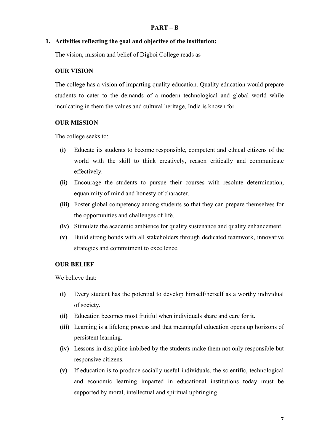#### **PART – B**

#### **1. Activities reflecting the goal and objective of the institution:**

The vision, mission and belief of Digboi College reads as –

#### **OUR VISION**

The college has a vision of imparting quality education. Quality education would prepare students to cater to the demands of a modern technological and global world while inculcating in them the values and cultural heritage, India is known for.

#### **OUR MISSION**

The college seeks to:

- **(i)** Educate its students to become responsible, competent and ethical citizens of the world with the skill to think creatively, reason critically and communicate effectively.
- **(ii)** Encourage the students to pursue their courses with resolute determination, equanimity of mind and honesty of character.
- **(iii)** Foster global competency among students so that they can prepare themselves for the opportunities and challenges of life.
- **(iv)** Stimulate the academic ambience for quality sustenance and quality enhancement.
- **(v)** Build strong bonds with all stakeholders through dedicated teamwork, innovative strategies and commitment to excellence.

#### **OUR BELIEF**

We believe that:

- **(i)** Every student has the potential to develop himself/herself as a worthy individual of society.
- **(ii)** Education becomes most fruitful when individuals share and care for it.
- **(iii)** Learning is a lifelong process and that meaningful education opens up horizons of persistent learning.
- **(iv)** Lessons in discipline imbibed by the students make them not only responsible but responsive citizens.
- **(v)** If education is to produce socially useful individuals, the scientific, technological and economic learning imparted in educational institutions today must be supported by moral, intellectual and spiritual upbringing.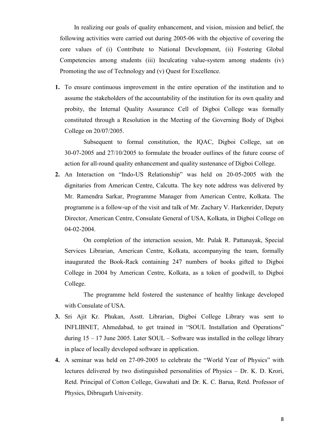In realizing our goals of quality enhancement, and vision, mission and belief, the following activities were carried out during 2005-06 with the objective of covering the core values of (i) Contribute to National Development, (ii) Fostering Global Competencies among students (iii) Inculcating value-system among students (iv) Promoting the use of Technology and (v) Quest for Excellence.

**1.** To ensure continuous improvement in the entire operation of the institution and to assume the stakeholders of the accountability of the institution for its own quality and probity, the Internal Quality Assurance Cell of Digboi College was formally constituted through a Resolution in the Meeting of the Governing Body of Digboi College on 20/07/2005.

Subsequent to formal constitution, the IQAC, Digboi College, sat on 30-07-2005 and 27/10/2005 to formulate the broader outlines of the future course of action for all-round quality enhancement and quality sustenance of Digboi College.

**2.** An Interaction on "Indo-US Relationship" was held on 20-05-2005 with the dignitaries from American Centre, Calcutta. The key note address was delivered by Mr. Ramendra Sarkar, Programme Manager from American Centre, Kolkata. The programme is a follow-up of the visit and talk of Mr. Zachary V. Harkenrider, Deputy Director, American Centre, Consulate General of USA, Kolkata, in Digboi College on 04-02-2004.

On completion of the interaction session, Mr. Pulak R. Pattanayak, Special Services Librarian, American Centre, Kolkata, accompanying the team, formally inaugurated the Book-Rack containing 247 numbers of books gifted to Digboi College in 2004 by American Centre, Kolkata, as a token of goodwill, to Digboi College.

The programme held fostered the sustenance of healthy linkage developed with Consulate of USA.

- **3.** Sri Ajit Kr. Phukan, Asstt. Librarian, Digboi College Library was sent to INFLIBNET, Ahmedabad, to get trained in "SOUL Installation and Operations" during  $15 - 17$  June 2005. Later SOUL – Software was installed in the college library in place of locally developed software in application.
- **4.** A seminar was held on 27-09-2005 to celebrate the "World Year of Physics" with lectures delivered by two distinguished personalities of Physics – Dr. K. D. Krori, Retd. Principal of Cotton College, Guwahati and Dr. K. C. Barua, Retd. Professor of Physics, Dibrugarh University.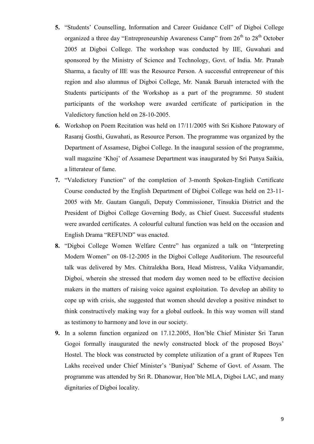- **5.** "Students' Counselling, Information and Career Guidance Cell" of Digboi College organized a three day "Entrepreneurship Awareness Camp" from  $26<sup>th</sup>$  to  $28<sup>th</sup>$  October 2005 at Digboi College. The workshop was conducted by IIE, Guwahati and sponsored by the Ministry of Science and Technology, Govt. of India. Mr. Pranab Sharma, a faculty of IIE was the Resource Person. A successful entrepreneur of this region and also alumnus of Digboi College, Mr. Nanak Baruah interacted with the Students participants of the Workshop as a part of the programme. 50 student participants of the workshop were awarded certificate of participation in the Valedictory function held on 28-10-2005.
- **6.** Workshop on Poem Recitation was held on 17/11/2005 with Sri Kishore Patowary of Rasaraj Gosthi, Guwahati, as Resource Person. The programme was organized by the Department of Assamese, Digboi College. In the inaugural session of the programme, wall magazine 'Khoj' of Assamese Department was inaugurated by Sri Punya Saikia, a litterateur of fame.
- **7.** "Valedictory Function" of the completion of 3-month Spoken-English Certificate Course conducted by the English Department of Digboi College was held on 23-11- 2005 with Mr. Gautam Ganguli, Deputy Commissioner, Tinsukia District and the President of Digboi College Governing Body, as Chief Guest. Successful students were awarded certificates. A colourful cultural function was held on the occasion and English Drama "REFUND" was enacted.
- **8.** "Digboi College Women Welfare Centre" has organized a talk on "Interpreting Modern Women" on 08-12-2005 in the Digboi College Auditorium. The resourceful talk was delivered by Mrs. Chitralekha Bora, Head Mistress, Valika Vidyamandir, Digboi, wherein she stressed that modern day women need to be effective decision makers in the matters of raising voice against exploitation. To develop an ability to cope up with crisis, she suggested that women should develop a positive mindset to think constructively making way for a global outlook. In this way women will stand as testimony to harmony and love in our society.
- **9.** In a solemn function organized on 17.12.2005, Hon'ble Chief Minister Sri Tarun Gogoi formally inaugurated the newly constructed block of the proposed Boys' Hostel. The block was constructed by complete utilization of a grant of Rupees Ten Lakhs received under Chief Minister's 'Buniyad' Scheme of Govt. of Assam. The programme was attended by Sri R. Dhanowar, Hon'ble MLA, Digboi LAC, and many dignitaries of Digboi locality.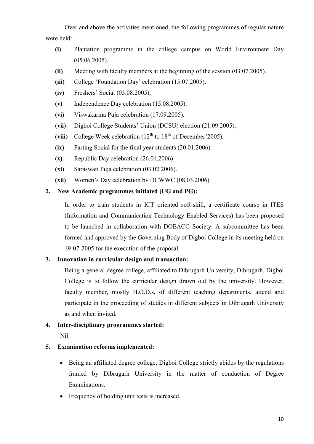Over and above the activities mentioned, the following programmes of regular nature were held:

- **(i)** Plantation programme in the college campus on World Environment Day (05.06.2005).
- **(ii)** Meeting with faculty members at the beginning of the session (03.07.2005).
- **(iii)** College 'Foundation Day' celebration (15.07.2005).
- **(iv)** Freshers' Social (05.08.2005).
- **(v)** Independence Day celebration (15.08.2005).
- **(vi)** Viswakarma Puja celebration (17.09.2005).
- **(vii)** Digboi College Students' Union (DCSU) election (21.09.2005).
- (viii) College Week celebration  $(12<sup>th</sup>$  to  $18<sup>th</sup>$  of December' 2005).
- **(ix)** Parting Social for the final year students (20.01.2006).
- **(x)** Republic Day celebration (26.01.2006).
- **(xi)** Saraswati Puja celebration (03.02.2006).
- **(xii)** Women's Day celebration by DCWWC (08.03.2006).

## **2. New Academic programmes initiated (UG and PG):**

In order to train students in ICT oriented soft-skill, a certificate course in ITES (Information and Communication Technology Enabled Services) has been proposed to be launched in collaboration with DOEACC Society. A subcommittee has been formed and approved by the Governing Body of Digboi College in its meeting held on 19-07-2005 for the execution of the proposal.

## **3. Innovation in curricular design and transaction:**

Being a general degree college, affiliated to Dibrugarh University, Dibrugarh, Digboi College is to follow the curricular design drawn out by the university. However, faculty member, mostly H.O.D.s, of different teaching departments, attend and participate in the proceeding of studies in different subjects in Dibrugarh University as and when invited.

## **4. Inter-disciplinary programmes started:**

Nil

## **5. Examination reforms implemented:**

- Being an affiliated degree college, Digboi College strictly abides by the regulations framed by Dibrugarh University in the matter of conduction of Degree Examinations.
- Frequency of holding unit tests is increased.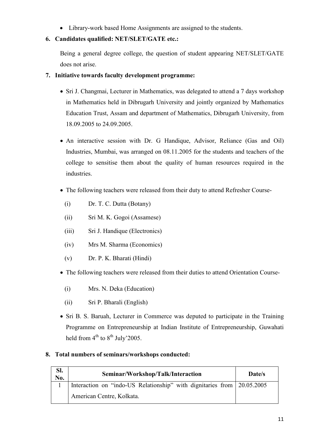• Library-work based Home Assignments are assigned to the students.

## **6. Candidates qualified: NET/SLET/GATE etc.:**

Being a general degree college, the question of student appearing NET/SLET/GATE does not arise.

## **7. Initiative towards faculty development programme:**

- Sri J. Changmai, Lecturer in Mathematics, was delegated to attend a 7 days workshop in Mathematics held in Dibrugarh University and jointly organized by Mathematics Education Trust, Assam and department of Mathematics, Dibrugarh University, from 18.09.2005 to 24.09.2005.
- An interactive session with Dr. G Handique, Advisor, Reliance (Gas and Oil) Industries, Mumbai, was arranged on 08.11.2005 for the students and teachers of the college to sensitise them about the quality of human resources required in the industries.
- The following teachers were released from their duty to attend Refresher Course-
	- (i) Dr. T. C. Dutta (Botany)
	- (ii) Sri M. K. Gogoi (Assamese)
	- (iii) Sri J. Handique (Electronics)
	- (iv) Mrs M. Sharma (Economics)
	- (v) Dr. P. K. Bharati (Hindi)
- The following teachers were released from their duties to attend Orientation Course-
	- (i) Mrs. N. Deka (Education)
	- (ii) Sri P. Bharali (English)
- Sri B. S. Baruah, Lecturer in Commerce was deputed to participate in the Training Programme on Entrepreneurship at Indian Institute of Entrepreneurship, Guwahati held from  $4<sup>th</sup>$  to  $8<sup>th</sup>$  July'2005.

## **8. Total numbers of seminars/workshops conducted:**

| Sl.<br>No. | Seminar/Workshop/Talk/Interaction                                      | Date/s |
|------------|------------------------------------------------------------------------|--------|
|            | Interaction on "indo-US Relationship" with dignitaries from 20.05.2005 |        |
|            | American Centre, Kolkata.                                              |        |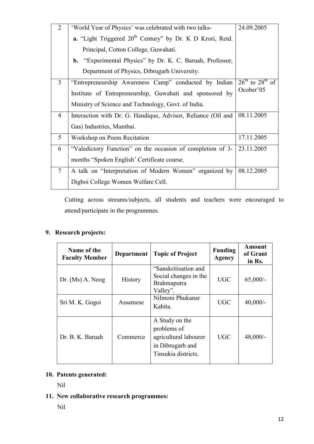| $\overline{2}$ | 'World Year of Physics' was celebrated with two talks-                                                            | 24.09.2005                             |
|----------------|-------------------------------------------------------------------------------------------------------------------|----------------------------------------|
|                | <b>a.</b> "Light Triggered $20th$ Century" by Dr. K D Krori, Retd.                                                |                                        |
|                | Principal, Cotton College, Guwahati.                                                                              |                                        |
|                | "Experimental Physics" by Dr. K. C. Baruah, Professor,<br>b.                                                      |                                        |
|                | Department of Physics, Dibrugarh University.                                                                      |                                        |
| 3              | "Entrepreneurship Awareness Camp" conducted by Indian<br>Institute of Entrepreneurship, Guwahati and sponsored by | $26^{th}$ to $28^{th}$ of<br>Ocober'05 |
|                | Ministry of Science and Technology, Govt. of India.                                                               |                                        |
| $\overline{4}$ | Interaction with Dr. G. Handique, Advisor, Reliance (Oil and                                                      | 08.11.2005                             |
|                | Gas) Industries, Mumbai.                                                                                          |                                        |
| 5              | Workshop on Poem Recitation                                                                                       | 17.11.2005                             |
| 6              | "Valedictory Function" on the occasion of completion of 3-                                                        | 23.11.2005                             |
|                | months "Spoken English" Certificate course.                                                                       |                                        |
| $\overline{7}$ | A talk on "Interpretation of Modern Women" organized by                                                           | 08.12.2005                             |
|                | Digboi College Women Welfare Cell.                                                                                |                                        |

Cutting across streams/subjects, all students and teachers were encouraged to attend/participate in the programmes.

## **9. Research projects:**

| Name of the<br><b>Faculty Member</b> | <b>Department</b> | <b>Topic of Project</b>                                                                           | <b>Funding</b><br>Agency | Amount<br>of Grant<br>in Rs. |
|--------------------------------------|-------------------|---------------------------------------------------------------------------------------------------|--------------------------|------------------------------|
| $Dr. (Ms)$ A. Neog                   | <b>History</b>    | "Sanskritisation and<br>Social changes in the<br><b>Brahmaputra</b><br>Valley".                   | <b>UGC</b>               | $65,000/-$                   |
| Sri M. K. Gogoi                      | Assamese          | Nilmoni Phukanar<br>Kabita.                                                                       | <b>UGC</b>               | $40,000/-$                   |
| Dr. B. K. Baruah                     | Commerce          | A Study on the<br>problems of<br>agricultural labourer<br>in Dibrugarh and<br>Tinsukia districts. | <b>UGC</b>               | $48,000/-$                   |

## **10. Patents generated:**

Nil

## **11. New collaborative research programmes:**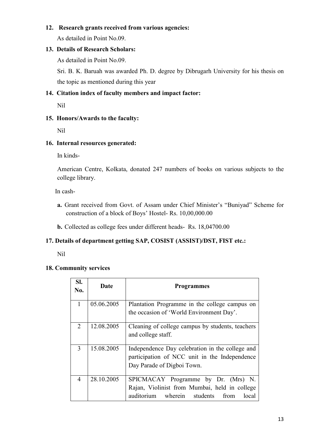#### **12. Research grants received from various agencies:**

As detailed in Point No.09.

#### **13. Details of Research Scholars:**

As detailed in Point No.09.

 Sri. B. K. Baruah was awarded Ph. D. degree by Dibrugarh University for his thesis on the topic as mentioned during this year

## **14. Citation index of faculty members and impact factor:**

Nil

## **15. Honors/Awards to the faculty:**

Nil

#### **16. Internal resources generated:**

In kinds-

 American Centre, Kolkata, donated 247 numbers of books on various subjects to the college library.

In cash-

**a.** Grant received from Govt. of Assam under Chief Minister's "Buniyad" Scheme for construction of a block of Boys' Hostel- Rs. 10,00,000.00

**b.** Collected as college fees under different heads- Rs. 18,04700.00

## **17. Details of department getting SAP, COSIST (ASSIST)/DST, FIST etc.:**

Nil

#### **18. Community services**

| Sl.<br>No.     | Date       | <b>Programmes</b>                                                                                                                       |  |
|----------------|------------|-----------------------------------------------------------------------------------------------------------------------------------------|--|
| 1              | 05.06.2005 | Plantation Programme in the college campus on<br>the occasion of 'World Environment Day'.                                               |  |
| $\mathcal{L}$  | 12.08.2005 | Cleaning of college campus by students, teachers<br>and college staff.                                                                  |  |
| 3              | 15.08.2005 | Independence Day celebration in the college and<br>participation of NCC unit in the Independence<br>Day Parade of Digboi Town.          |  |
| $\overline{4}$ | 28.10.2005 | SPICMACAY Programme by Dr. (Mrs)<br>N.<br>Rajan, Violinist from Mumbai, held in college<br>auditorium wherein students<br>from<br>local |  |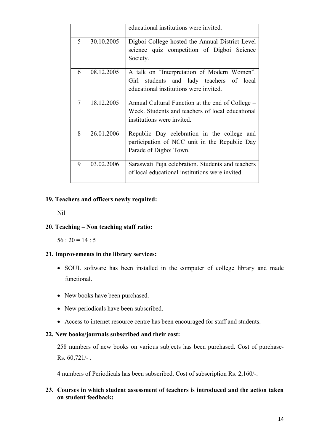|   |            | educational institutions were invited.                                                                                             |
|---|------------|------------------------------------------------------------------------------------------------------------------------------------|
| 5 | 30.10.2005 | Digboi College hosted the Annual District Level<br>science quiz competition of Digboi Science<br>Society.                          |
| 6 | 08.12.2005 | A talk on "Interpretation of Modern Women".<br>Girl students and lady teachers of local<br>educational institutions were invited.  |
| 7 | 18.12.2005 | Annual Cultural Function at the end of College –<br>Week. Students and teachers of local educational<br>institutions were invited. |
| 8 | 26.01.2006 | Republic Day celebration in the college and<br>participation of NCC unit in the Republic Day<br>Parade of Digboi Town.             |
| 9 | 03.02.2006 | Saraswati Puja celebration. Students and teachers<br>of local educational institutions were invited.                               |

#### **19. Teachers and officers newly requited:**

Nil

#### **20. Teaching – Non teaching staff ratio:**

 $56 : 20 = 14 : 5$ 

#### **21. Improvements in the library services:**

- SOUL software has been installed in the computer of college library and made functional.
- New books have been purchased.
- New periodicals have been subscribed.
- Access to internet resource centre has been encouraged for staff and students.

#### **22. New books/journals subscribed and their cost:**

258 numbers of new books on various subjects has been purchased. Cost of purchase-Rs. 60,721/- .

4 numbers of Periodicals has been subscribed. Cost of subscription Rs. 2,160/-.

#### **23. Courses in which student assessment of teachers is introduced and the action taken on student feedback:**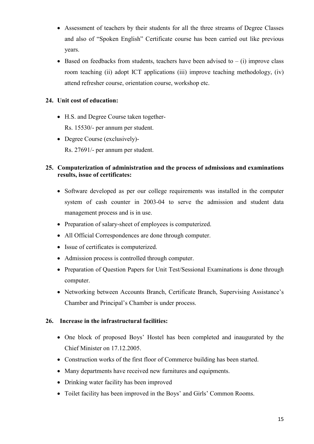- Assessment of teachers by their students for all the three streams of Degree Classes and also of "Spoken English" Certificate course has been carried out like previous years.
- Based on feedbacks from students, teachers have been advised to  $(i)$  improve class room teaching (ii) adopt ICT applications (iii) improve teaching methodology, (iv) attend refresher course, orientation course, workshop etc.

#### **24. Unit cost of education:**

- H.S. and Degree Course taken together-
	- Rs. 15530/- per annum per student.
- Degree Course (exclusively)-Rs. 27691/- per annum per student.

#### **25. Computerization of administration and the process of admissions and examinations results, issue of certificates:**

- Software developed as per our college requirements was installed in the computer system of cash counter in 2003-04 to serve the admission and student data management process and is in use.
- Preparation of salary-sheet of employees is computerized.
- All Official Correspondences are done through computer.
- Issue of certificates is computerized.
- Admission process is controlled through computer.
- Preparation of Question Papers for Unit Test/Sessional Examinations is done through computer.
- Networking between Accounts Branch, Certificate Branch, Supervising Assistance's Chamber and Principal's Chamber is under process.

#### **26. Increase in the infrastructural facilities:**

- One block of proposed Boys' Hostel has been completed and inaugurated by the Chief Minister on 17.12.2005.
- Construction works of the first floor of Commerce building has been started.
- Many departments have received new furnitures and equipments.
- Drinking water facility has been improved
- Toilet facility has been improved in the Boys' and Girls' Common Rooms.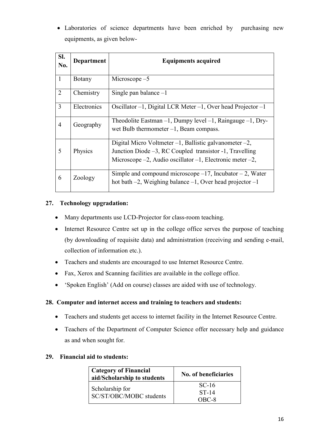• Laboratories of science departments have been enriched by purchasing new equipments, as given below-

| SI.<br>No.     | <b>Department</b> | <b>Equipments acquired</b>                                                                                                                                                                   |
|----------------|-------------------|----------------------------------------------------------------------------------------------------------------------------------------------------------------------------------------------|
| 1              | <b>Botany</b>     | Microscope $-5$                                                                                                                                                                              |
| $\overline{2}$ | Chemistry         | Single pan balance $-1$                                                                                                                                                                      |
| 3              | Electronics       | Oscillator $-1$ , Digital LCR Meter $-1$ , Over head Projector $-1$                                                                                                                          |
| 4              | Geography         | Theodolite Eastman $-1$ , Dumpy level $-1$ , Raingauge $-1$ , Dry-<br>wet Bulb thermometer $-1$ , Beam compass.                                                                              |
| 5              | Physics           | Digital Micro Voltmeter $-1$ , Ballistic galvanometer $-2$ ,<br>Junction Diode –3, RC Coupled transistor -1, Travelling<br>Microscope $-2$ , Audio oscillator $-1$ , Electronic meter $-2$ , |
| 6              | Zoology           | Simple and compound microscope $-17$ , Incubator $-2$ , Water<br>hot bath $-2$ , Weighing balance $-1$ , Over head projector $-1$                                                            |

## **27. Technology upgradation:**

- Many departments use LCD-Projector for class-room teaching.
- Internet Resource Centre set up in the college office serves the purpose of teaching (by downloading of requisite data) and administration (receiving and sending e-mail, collection of information etc.).
- Teachers and students are encouraged to use Internet Resource Centre.
- Fax, Xerox and Scanning facilities are available in the college office.
- 'Spoken English' (Add on course) classes are aided with use of technology.

#### **28. Computer and internet access and training to teachers and students:**

- Teachers and students get access to internet facility in the Internet Resource Centre.
- Teachers of the Department of Computer Science offer necessary help and guidance as and when sought for.

#### **29. Financial aid to students:**

| <b>Category of Financial</b><br>aid/Scholarship to students | No. of beneficiaries |
|-------------------------------------------------------------|----------------------|
| Scholarship for                                             | $SC-16$<br>ST-14     |
| SC/ST/OBC/MOBC students                                     | OBC-8                |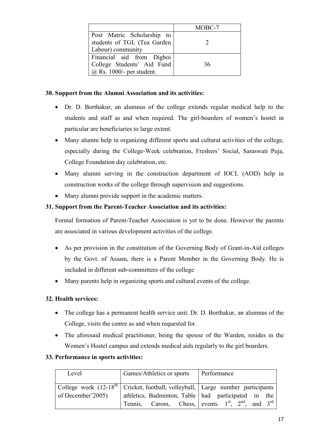|                                  | MOBC-7 |
|----------------------------------|--------|
| Post Matric Scholarship to       |        |
| students of TGL (Tea Garden      |        |
| Labour) community                |        |
| Financial aid from Digboi        |        |
| College Students' Aid Fund       | 36     |
| $\omega$ Rs. 1000/- per student. |        |

#### **30. Support from the Alumni Association and its activities:**

- Dr. D. Borthakur, an alumnus of the college extends regular medical help to the students and staff as and when required. The girl-boarders of women's hostel in particular are beneficiaries to large extent.
- Many alumni help in organizing different sports and cultural activities of the college, especially during the College-Week celebration, Freshers' Social, Saraswati Puja, College Foundation day celebration, etc.
- Many alumni serving in the construction department of IOCL (AOD) help in construction works of the college through supervision and suggestions.
- Many alumni provide support in the academic matters.

## **31. Support from the Parent-Teacher Association and its activities:**

Formal formation of Parent-Teacher Association is yet to be done. However the parents are associated in various development activities of the college.

- As per provision in the constitution of the Governing Body of Grant-in-Aid colleges by the Govt. of Assam, there is a Parent Member in the Governing Body. He is included in different sub-committees of the college
- Many parents help in organizing sports and cultural events of the college.

## **32. Health services:**

- The college has a permanent health service unit. Dr. D. Borthakur, an alumnus of the College, visits the centre as and when requested for.
- The aforesaid medical practitioner, being the spouse of the Warden, resides in the Women's Hostel campus and extends medical aids regularly to the girl boarders.

#### **33. Performance in sports activities:**

| Level              | Games/Athletics or sports | Performance                                                                                                                                               |
|--------------------|---------------------------|-----------------------------------------------------------------------------------------------------------------------------------------------------------|
| of December' 2005) |                           | College week (12-18 <sup>th</sup>   Cricket, football, volleyball,   Large number participants<br>  athletics, Badminton, Table   had participated in the |
|                    |                           | Tennis, Carom, Chess, events. $1^{st}$ , $2^{nd}$ , and $3^{rd}$                                                                                          |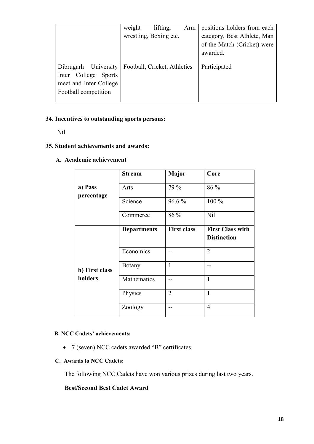|                        | weight | lifting,                     | Arm | positions holders from each |
|------------------------|--------|------------------------------|-----|-----------------------------|
|                        |        | wrestling, Boxing etc.       |     | category, Best Athlete, Man |
|                        |        |                              |     | of the Match (Cricket) were |
|                        |        |                              |     | awarded.                    |
|                        |        |                              |     |                             |
| Dibrugarh University   |        | Football, Cricket, Athletics |     | Participated                |
| Inter College Sports   |        |                              |     |                             |
| meet and Inter College |        |                              |     |                             |
| Football competition   |        |                              |     |                             |
|                        |        |                              |     |                             |

## **34. Incentives to outstanding sports persons:**

Nil.

#### **35. Student achievements and awards:**

#### **A. Academic achievement**

|                       | <b>Stream</b>      | <b>Major</b>       | Core                                          |
|-----------------------|--------------------|--------------------|-----------------------------------------------|
| a) Pass<br>percentage | Arts               | 79 %               | 86 %                                          |
|                       | Science            | $96.6\%$           | $100\%$                                       |
|                       | Commerce           | 86 %               | Nil                                           |
|                       | <b>Departments</b> | <b>First class</b> | <b>First Class with</b><br><b>Distinction</b> |
|                       | Economics          |                    | $\overline{2}$                                |
| b) First class        | <b>Botany</b>      | 1                  |                                               |
| holders               | Mathematics        |                    | 1                                             |
|                       | Physics            | $\overline{2}$     | 1                                             |
|                       | Zoology            |                    | 4                                             |

#### **B. NCC Cadets' achievements:**

• 7 (seven) NCC cadets awarded "B" certificates.

#### **C. Awards to NCC Cadets:**

The following NCC Cadets have won various prizes during last two years.

#### **Best/Second Best Cadet Award**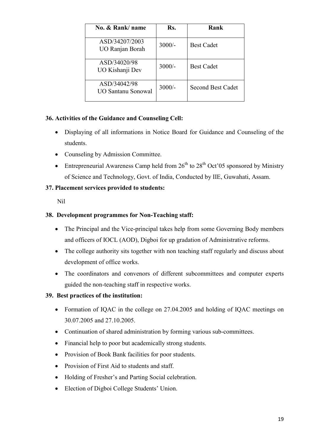| No. & Rank/ name                          | Rs.      | Rank                     |
|-------------------------------------------|----------|--------------------------|
| ASD/34207/2003<br>UO Ranjan Borah         | $3000/-$ | <b>Best Cadet</b>        |
| ASD/34020/98<br>UO Kishanji Dev           | $3000/-$ | <b>Best Cadet</b>        |
| ASD/34042/98<br><b>UO Santanu Sonowal</b> | $3000/-$ | <b>Second Best Cadet</b> |

## **36. Activities of the Guidance and Counseling Cell:**

- Displaying of all informations in Notice Board for Guidance and Counseling of the students.
- Counseling by Admission Committee.
- Entrepreneurial Awareness Camp held from  $26<sup>th</sup>$  to  $28<sup>th</sup>$  Oct'05 sponsored by Ministry of Science and Technology, Govt. of India, Conducted by IIE, Guwahati, Assam.

#### **37. Placement services provided to students:**

Nil

#### **38. Development programmes for Non-Teaching staff:**

- The Principal and the Vice-principal takes help from some Governing Body members and officers of IOCL (AOD), Digboi for up gradation of Administrative reforms.
- The college authority sits together with non teaching staff regularly and discuss about development of office works.
- The coordinators and convenors of different subcommittees and computer experts guided the non-teaching staff in respective works.

## **39. Best practices of the institution:**

- Formation of IQAC in the college on 27.04.2005 and holding of IQAC meetings on 30.07.2005 and 27.10.2005.
- Continuation of shared administration by forming various sub-committees.
- Financial help to poor but academically strong students.
- Provision of Book Bank facilities for poor students.
- Provision of First Aid to students and staff.
- Holding of Fresher's and Parting Social celebration.
- Election of Digboi College Students' Union.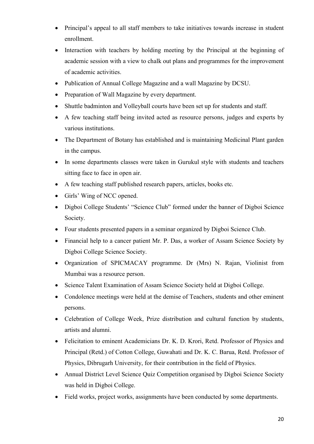- Principal's appeal to all staff members to take initiatives towards increase in student enrollment.
- Interaction with teachers by holding meeting by the Principal at the beginning of academic session with a view to chalk out plans and programmes for the improvement of academic activities.
- Publication of Annual College Magazine and a wall Magazine by DCSU.
- Preparation of Wall Magazine by every department.
- Shuttle badminton and Volleyball courts have been set up for students and staff.
- A few teaching staff being invited acted as resource persons, judges and experts by various institutions.
- The Department of Botany has established and is maintaining Medicinal Plant garden in the campus.
- In some departments classes were taken in Gurukul style with students and teachers sitting face to face in open air.
- A few teaching staff published research papers, articles, books etc.
- Girls' Wing of NCC opened.
- Digboi College Students' "Science Club" formed under the banner of Digboi Science Society.
- Four students presented papers in a seminar organized by Digboi Science Club.
- Financial help to a cancer patient Mr. P. Das, a worker of Assam Science Society by Digboi College Science Society.
- Organization of SPICMACAY programme. Dr (Mrs) N. Rajan, Violinist from Mumbai was a resource person.
- Science Talent Examination of Assam Science Society held at Digboi College.
- Condolence meetings were held at the demise of Teachers, students and other eminent persons.
- Celebration of College Week, Prize distribution and cultural function by students, artists and alumni.
- Felicitation to eminent Academicians Dr. K. D. Krori, Retd. Professor of Physics and Principal (Retd.) of Cotton College, Guwahati and Dr. K. C. Barua, Retd. Professor of Physics, Dibrugarh University, for their contribution in the field of Physics.
- Annual District Level Science Quiz Competition organised by Digboi Science Society was held in Digboi College.
- Field works, project works, assignments have been conducted by some departments.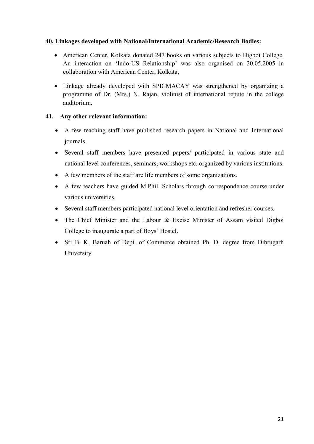#### **40. Linkages developed with National/International Academic/Research Bodies:**

- American Center, Kolkata donated 247 books on various subjects to Digboi College. An interaction on 'Indo-US Relationship' was also organised on 20.05.2005 in collaboration with American Center, Kolkata,
- Linkage already developed with SPICMACAY was strengthened by organizing a programme of Dr. (Mrs.) N. Rajan, violinist of international repute in the college auditorium.

#### **41. Any other relevant information:**

- A few teaching staff have published research papers in National and International journals.
- Several staff members have presented papers/ participated in various state and national level conferences, seminars, workshops etc. organized by various institutions.
- A few members of the staff are life members of some organizations.
- A few teachers have guided M.Phil. Scholars through correspondence course under various universities.
- Several staff members participated national level orientation and refresher courses.
- The Chief Minister and the Labour & Excise Minister of Assam visited Digboi College to inaugurate a part of Boys' Hostel.
- Sri B. K. Baruah of Dept. of Commerce obtained Ph. D. degree from Dibrugarh University.